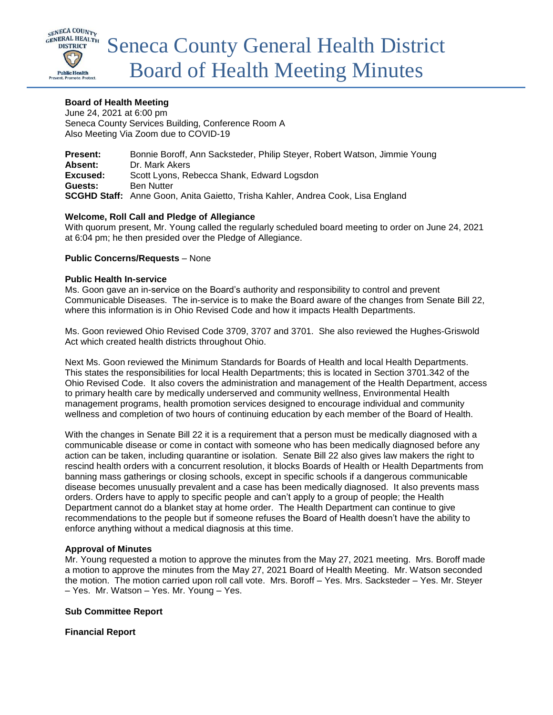

# **Board of Health Meeting**

June 24, 2021 at 6:00 pm Seneca County Services Building, Conference Room A Also Meeting Via Zoom due to COVID-19

| <b>Present:</b> | Bonnie Boroff, Ann Sacksteder, Philip Steyer, Robert Watson, Jimmie Young              |
|-----------------|----------------------------------------------------------------------------------------|
| Absent:         | Dr. Mark Akers                                                                         |
| Excused:        | Scott Lyons, Rebecca Shank, Edward Logsdon                                             |
| Guests:         | <b>Ben Nutter</b>                                                                      |
|                 | <b>SCGHD Staff:</b> Anne Goon, Anita Gaietto, Trisha Kahler, Andrea Cook, Lisa England |

# **Welcome, Roll Call and Pledge of Allegiance**

With quorum present, Mr. Young called the regularly scheduled board meeting to order on June 24, 2021 at 6:04 pm; he then presided over the Pledge of Allegiance.

### **Public Concerns/Requests** – None

### **Public Health In-service**

Ms. Goon gave an in-service on the Board's authority and responsibility to control and prevent Communicable Diseases. The in-service is to make the Board aware of the changes from Senate Bill 22, where this information is in Ohio Revised Code and how it impacts Health Departments.

Ms. Goon reviewed Ohio Revised Code 3709, 3707 and 3701. She also reviewed the Hughes-Griswold Act which created health districts throughout Ohio.

Next Ms. Goon reviewed the Minimum Standards for Boards of Health and local Health Departments. This states the responsibilities for local Health Departments; this is located in Section 3701.342 of the Ohio Revised Code. It also covers the administration and management of the Health Department, access to primary health care by medically underserved and community wellness, Environmental Health management programs, health promotion services designed to encourage individual and community wellness and completion of two hours of continuing education by each member of the Board of Health.

With the changes in Senate Bill 22 it is a requirement that a person must be medically diagnosed with a communicable disease or come in contact with someone who has been medically diagnosed before any action can be taken, including quarantine or isolation. Senate Bill 22 also gives law makers the right to rescind health orders with a concurrent resolution, it blocks Boards of Health or Health Departments from banning mass gatherings or closing schools, except in specific schools if a dangerous communicable disease becomes unusually prevalent and a case has been medically diagnosed. It also prevents mass orders. Orders have to apply to specific people and can't apply to a group of people; the Health Department cannot do a blanket stay at home order. The Health Department can continue to give recommendations to the people but if someone refuses the Board of Health doesn't have the ability to enforce anything without a medical diagnosis at this time.

### **Approval of Minutes**

Mr. Young requested a motion to approve the minutes from the May 27, 2021 meeting. Mrs. Boroff made a motion to approve the minutes from the May 27, 2021 Board of Health Meeting. Mr. Watson seconded the motion. The motion carried upon roll call vote. Mrs. Boroff – Yes. Mrs. Sacksteder – Yes. Mr. Steyer – Yes. Mr. Watson – Yes. Mr. Young – Yes.

### **Sub Committee Report**

**Financial Report**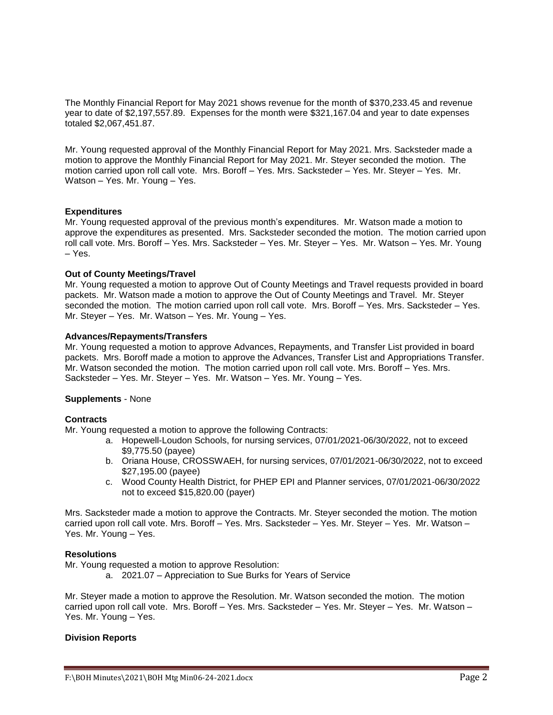The Monthly Financial Report for May 2021 shows revenue for the month of \$370,233.45 and revenue year to date of \$2,197,557.89. Expenses for the month were \$321,167.04 and year to date expenses totaled \$2,067,451.87.

Mr. Young requested approval of the Monthly Financial Report for May 2021. Mrs. Sacksteder made a motion to approve the Monthly Financial Report for May 2021. Mr. Steyer seconded the motion. The motion carried upon roll call vote. Mrs. Boroff – Yes. Mrs. Sacksteder – Yes. Mr. Steyer – Yes. Mr. Watson – Yes. Mr. Young – Yes.

### **Expenditures**

Mr. Young requested approval of the previous month's expenditures. Mr. Watson made a motion to approve the expenditures as presented. Mrs. Sacksteder seconded the motion. The motion carried upon roll call vote. Mrs. Boroff – Yes. Mrs. Sacksteder – Yes. Mr. Steyer – Yes. Mr. Watson – Yes. Mr. Young – Yes.

### **Out of County Meetings/Travel**

Mr. Young requested a motion to approve Out of County Meetings and Travel requests provided in board packets. Mr. Watson made a motion to approve the Out of County Meetings and Travel. Mr. Steyer seconded the motion. The motion carried upon roll call vote. Mrs. Boroff – Yes. Mrs. Sacksteder – Yes. Mr. Steyer – Yes. Mr. Watson – Yes. Mr. Young – Yes.

# **Advances/Repayments/Transfers**

Mr. Young requested a motion to approve Advances, Repayments, and Transfer List provided in board packets. Mrs. Boroff made a motion to approve the Advances, Transfer List and Appropriations Transfer. Mr. Watson seconded the motion. The motion carried upon roll call vote. Mrs. Boroff – Yes. Mrs. Sacksteder – Yes. Mr. Steyer – Yes. Mr. Watson – Yes. Mr. Young – Yes.

### **Supplements** - None

### **Contracts**

Mr. Young requested a motion to approve the following Contracts:

- a. Hopewell-Loudon Schools, for nursing services, 07/01/2021-06/30/2022, not to exceed \$9,775.50 (payee)
- b. Oriana House, CROSSWAEH, for nursing services, 07/01/2021-06/30/2022, not to exceed \$27,195.00 (payee)
- c. Wood County Health District, for PHEP EPI and Planner services, 07/01/2021-06/30/2022 not to exceed \$15,820.00 (payer)

Mrs. Sacksteder made a motion to approve the Contracts. Mr. Steyer seconded the motion. The motion carried upon roll call vote. Mrs. Boroff – Yes. Mrs. Sacksteder – Yes. Mr. Steyer – Yes. Mr. Watson – Yes. Mr. Young – Yes.

## **Resolutions**

Mr. Young requested a motion to approve Resolution:

a. 2021.07 – Appreciation to Sue Burks for Years of Service

Mr. Steyer made a motion to approve the Resolution. Mr. Watson seconded the motion. The motion carried upon roll call vote. Mrs. Boroff – Yes. Mrs. Sacksteder – Yes. Mr. Steyer – Yes. Mr. Watson – Yes. Mr. Young – Yes.

### **Division Reports**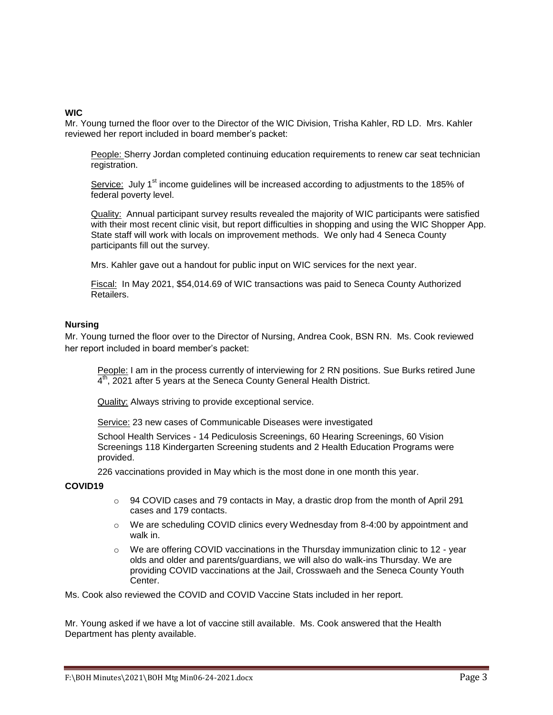### **WIC**

Mr. Young turned the floor over to the Director of the WIC Division, Trisha Kahler, RD LD. Mrs. Kahler reviewed her report included in board member's packet:

People: Sherry Jordan completed continuing education requirements to renew car seat technician registration.

Service: July  $1<sup>st</sup>$  income guidelines will be increased according to adjustments to the 185% of federal poverty level.

Quality: Annual participant survey results revealed the majority of WIC participants were satisfied with their most recent clinic visit, but report difficulties in shopping and using the WIC Shopper App. State staff will work with locals on improvement methods. We only had 4 Seneca County participants fill out the survey.

Mrs. Kahler gave out a handout for public input on WIC services for the next year.

Fiscal: In May 2021, \$54,014.69 of WIC transactions was paid to Seneca County Authorized Retailers.

### **Nursing**

Mr. Young turned the floor over to the Director of Nursing, Andrea Cook, BSN RN. Ms. Cook reviewed her report included in board member's packet:

People: I am in the process currently of interviewing for 2 RN positions. Sue Burks retired June  $4<sup>th</sup>$ , 2021 after 5 years at the Seneca County General Health District.

Quality: Always striving to provide exceptional service.

Service: 23 new cases of Communicable Diseases were investigated

School Health Services - 14 Pediculosis Screenings, 60 Hearing Screenings, 60 Vision Screenings 118 Kindergarten Screening students and 2 Health Education Programs were provided.

226 vaccinations provided in May which is the most done in one month this year.

### **COVID19**

- $\circ$  94 COVID cases and 79 contacts in May, a drastic drop from the month of April 291 cases and 179 contacts.
- o We are scheduling COVID clinics every Wednesday from 8-4:00 by appointment and walk in.
- $\circ$  We are offering COVID vaccinations in the Thursday immunization clinic to 12 year olds and older and parents/guardians, we will also do walk-ins Thursday. We are providing COVID vaccinations at the Jail, Crosswaeh and the Seneca County Youth Center.

Ms. Cook also reviewed the COVID and COVID Vaccine Stats included in her report.

Mr. Young asked if we have a lot of vaccine still available. Ms. Cook answered that the Health Department has plenty available.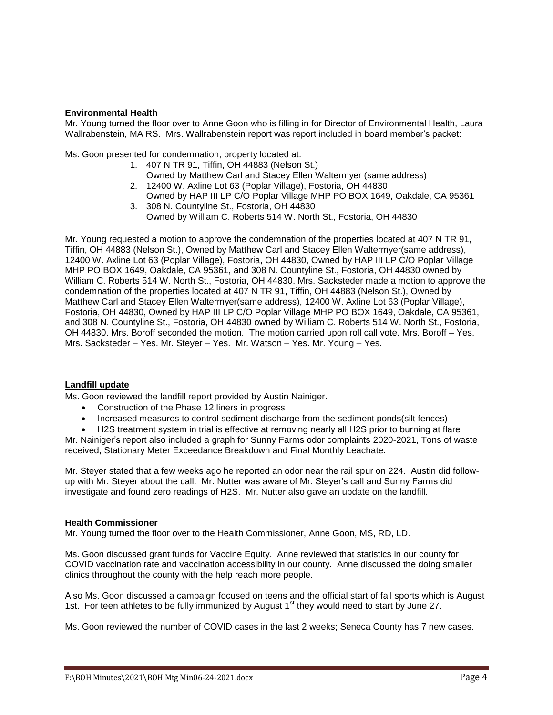## **Environmental Health**

Mr. Young turned the floor over to Anne Goon who is filling in for Director of Environmental Health, Laura Wallrabenstein, MA RS. Mrs. Wallrabenstein report was report included in board member's packet:

Ms. Goon presented for condemnation, property located at:

- 1. 407 N TR 91, Tiffin, OH 44883 (Nelson St.)
- Owned by Matthew Carl and Stacey Ellen Waltermyer (same address)
- 2. 12400 W. Axline Lot 63 (Poplar Village), Fostoria, OH 44830 Owned by HAP III LP C/O Poplar Village MHP PO BOX 1649, Oakdale, CA 95361
- 3. 308 N. Countyline St., Fostoria, OH 44830 Owned by William C. Roberts 514 W. North St., Fostoria, OH 44830

Mr. Young requested a motion to approve the condemnation of the properties located at 407 N TR 91, Tiffin, OH 44883 (Nelson St.), Owned by Matthew Carl and Stacey Ellen Waltermyer(same address), 12400 W. Axline Lot 63 (Poplar Village), Fostoria, OH 44830, Owned by HAP III LP C/O Poplar Village MHP PO BOX 1649, Oakdale, CA 95361, and 308 N. Countyline St., Fostoria, OH 44830 owned by William C. Roberts 514 W. North St., Fostoria, OH 44830. Mrs. Sacksteder made a motion to approve the condemnation of the properties located at 407 N TR 91, Tiffin, OH 44883 (Nelson St.), Owned by Matthew Carl and Stacey Ellen Waltermyer(same address), 12400 W. Axline Lot 63 (Poplar Village), Fostoria, OH 44830, Owned by HAP III LP C/O Poplar Village MHP PO BOX 1649, Oakdale, CA 95361, and 308 N. Countyline St., Fostoria, OH 44830 owned by William C. Roberts 514 W. North St., Fostoria, OH 44830. Mrs. Boroff seconded the motion. The motion carried upon roll call vote. Mrs. Boroff – Yes. Mrs. Sacksteder – Yes. Mr. Steyer – Yes. Mr. Watson – Yes. Mr. Young – Yes.

### **Landfill update**

Ms. Goon reviewed the landfill report provided by Austin Nainiger.

- Construction of the Phase 12 liners in progress
- Increased measures to control sediment discharge from the sediment ponds(silt fences)
- H2S treatment system in trial is effective at removing nearly all H2S prior to burning at flare

Mr. Nainiger's report also included a graph for Sunny Farms odor complaints 2020-2021, Tons of waste received, Stationary Meter Exceedance Breakdown and Final Monthly Leachate.

Mr. Steyer stated that a few weeks ago he reported an odor near the rail spur on 224. Austin did followup with Mr. Steyer about the call. Mr. Nutter was aware of Mr. Steyer's call and Sunny Farms did investigate and found zero readings of H2S. Mr. Nutter also gave an update on the landfill.

### **Health Commissioner**

Mr. Young turned the floor over to the Health Commissioner, Anne Goon, MS, RD, LD.

Ms. Goon discussed grant funds for Vaccine Equity. Anne reviewed that statistics in our county for COVID vaccination rate and vaccination accessibility in our county. Anne discussed the doing smaller clinics throughout the county with the help reach more people.

Also Ms. Goon discussed a campaign focused on teens and the official start of fall sports which is August 1st. For teen athletes to be fully immunized by August 1<sup>st</sup> they would need to start by June 27.

Ms. Goon reviewed the number of COVID cases in the last 2 weeks; Seneca County has 7 new cases.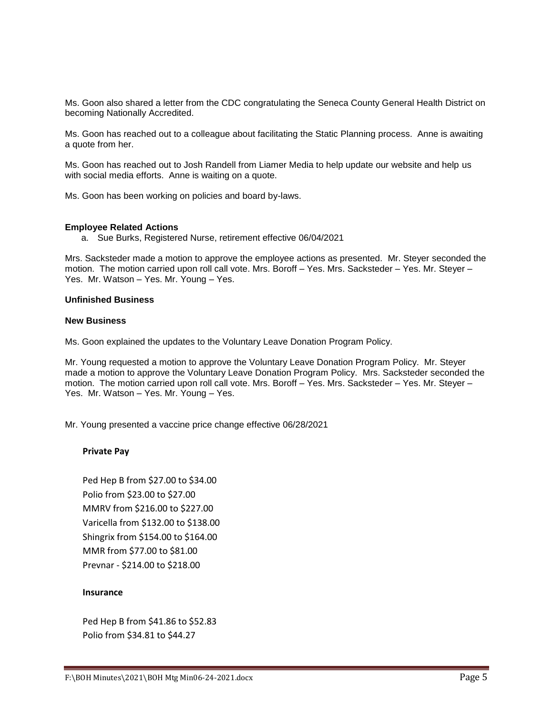Ms. Goon also shared a letter from the CDC congratulating the Seneca County General Health District on becoming Nationally Accredited.

Ms. Goon has reached out to a colleague about facilitating the Static Planning process. Anne is awaiting a quote from her.

Ms. Goon has reached out to Josh Randell from Liamer Media to help update our website and help us with social media efforts. Anne is waiting on a quote.

Ms. Goon has been working on policies and board by-laws.

#### **Employee Related Actions**

a. Sue Burks, Registered Nurse, retirement effective 06/04/2021

Mrs. Sacksteder made a motion to approve the employee actions as presented. Mr. Steyer seconded the motion. The motion carried upon roll call vote. Mrs. Boroff – Yes. Mrs. Sacksteder – Yes. Mr. Steyer – Yes. Mr. Watson – Yes. Mr. Young – Yes.

### **Unfinished Business**

### **New Business**

Ms. Goon explained the updates to the Voluntary Leave Donation Program Policy.

Mr. Young requested a motion to approve the Voluntary Leave Donation Program Policy. Mr. Steyer made a motion to approve the Voluntary Leave Donation Program Policy. Mrs. Sacksteder seconded the motion. The motion carried upon roll call vote. Mrs. Boroff – Yes. Mrs. Sacksteder – Yes. Mr. Steyer – Yes. Mr. Watson – Yes. Mr. Young – Yes.

Mr. Young presented a vaccine price change effective 06/28/2021

### **Private Pay**

Ped Hep B from \$27.00 to \$34.00 Polio from \$23.00 to \$27.00 MMRV from \$216.00 to \$227.00 Varicella from \$132.00 to \$138.00 Shingrix from \$154.00 to \$164.00 MMR from \$77.00 to \$81.00 Prevnar - \$214.00 to \$218.00

## **Insurance**

Ped Hep B from \$41.86 to \$52.83 Polio from \$34.81 to \$44.27